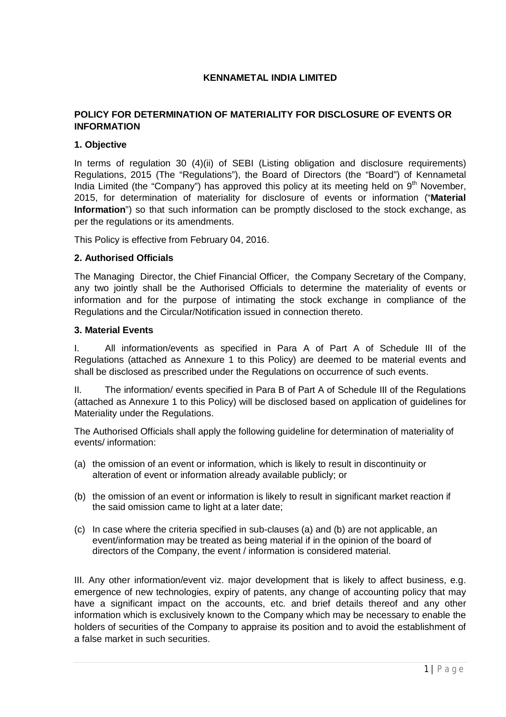# **KENNAMETAL INDIA LIMITED**

# **POLICY FOR DETERMINATION OF MATERIALITY FOR DISCLOSURE OF EVENTS OR INFORMATION**

# **1. Objective**

In terms of regulation 30 (4)(ii) of SEBI (Listing obligation and disclosure requirements) Regulations, 2015 (The "Regulations"), the Board of Directors (the "Board") of Kennametal India Limited (the "Company") has approved this policy at its meeting held on  $9<sup>th</sup>$  November, 2015, for determination of materiality for disclosure of events or information ("**Material Information**") so that such information can be promptly disclosed to the stock exchange, as per the regulations or its amendments.

This Policy is effective from February 04, 2016.

#### **2. Authorised Officials**

The Managing Director, the Chief Financial Officer, the Company Secretary of the Company, any two jointly shall be the Authorised Officials to determine the materiality of events or information and for the purpose of intimating the stock exchange in compliance of the Regulations and the Circular/Notification issued in connection thereto.

#### **3. Material Events**

I. All information/events as specified in Para A of Part A of Schedule III of the Regulations (attached as Annexure 1 to this Policy) are deemed to be material events and shall be disclosed as prescribed under the Regulations on occurrence of such events.

II. The information/ events specified in Para B of Part A of Schedule III of the Regulations (attached as Annexure 1 to this Policy) will be disclosed based on application of guidelines for Materiality under the Regulations.

The Authorised Officials shall apply the following guideline for determination of materiality of events/ information:

- (a) the omission of an event or information, which is likely to result in discontinuity or alteration of event or information already available publicly; or
- (b) the omission of an event or information is likely to result in significant market reaction if the said omission came to light at a later date;
- (c) In case where the criteria specified in sub-clauses (a) and (b) are not applicable, an event/information may be treated as being material if in the opinion of the board of directors of the Company, the event / information is considered material.

III. Any other information/event viz. major development that is likely to affect business, e.g. emergence of new technologies, expiry of patents, any change of accounting policy that may have a significant impact on the accounts, etc. and brief details thereof and any other information which is exclusively known to the Company which may be necessary to enable the holders of securities of the Company to appraise its position and to avoid the establishment of a false market in such securities.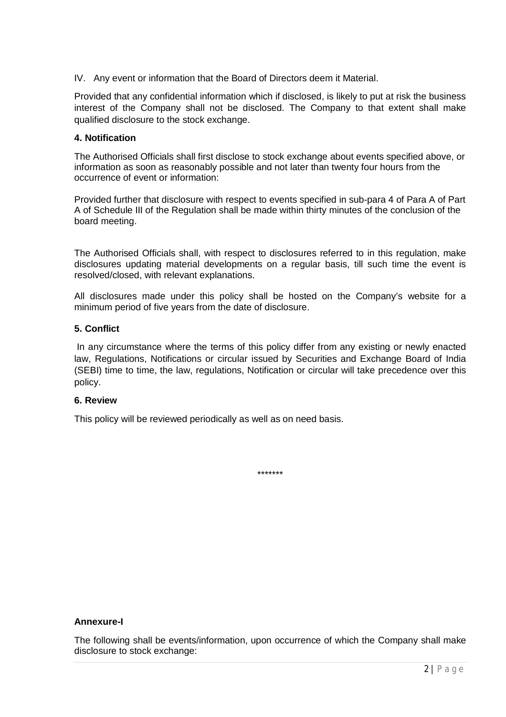IV. Any event or information that the Board of Directors deem it Material.

Provided that any confidential information which if disclosed, is likely to put at risk the business interest of the Company shall not be disclosed. The Company to that extent shall make qualified disclosure to the stock exchange.

# **4. Notification**

The Authorised Officials shall first disclose to stock exchange about events specified above, or information as soon as reasonably possible and not later than twenty four hours from the occurrence of event or information:

Provided further that disclosure with respect to events specified in sub-para 4 of Para A of Part A of Schedule III of the Regulation shall be made within thirty minutes of the conclusion of the board meeting.

The Authorised Officials shall, with respect to disclosures referred to in this regulation, make disclosures updating material developments on a regular basis, till such time the event is resolved/closed, with relevant explanations.

All disclosures made under this policy shall be hosted on the Company's website for a minimum period of five years from the date of disclosure.

# **5. Conflict**

In any circumstance where the terms of this policy differ from any existing or newly enacted law, Regulations, Notifications or circular issued by Securities and Exchange Board of India (SEBI) time to time, the law, regulations, Notification or circular will take precedence over this policy.

#### **6. Review**

This policy will be reviewed periodically as well as on need basis.

\*\*\*\*\*\*\*

# **Annexure-I**

The following shall be events/information, upon occurrence of which the Company shall make disclosure to stock exchange: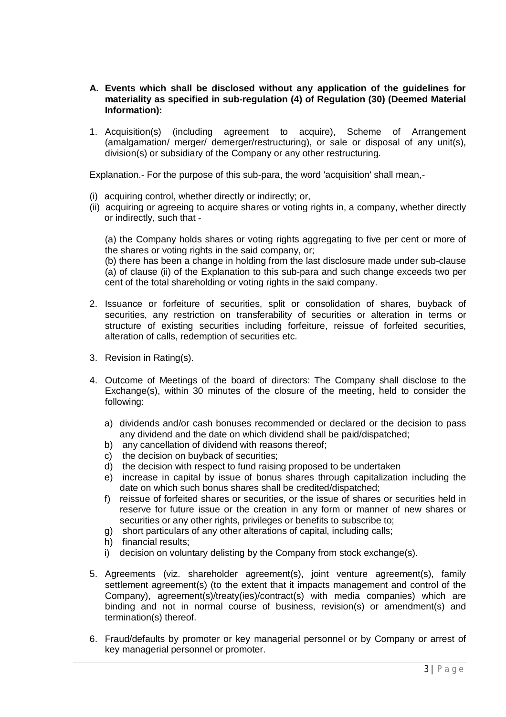- **A. Events which shall be disclosed without any application of the guidelines for materiality as specified in sub-regulation (4) of Regulation (30) (Deemed Material Information):**
- 1. Acquisition(s) (including agreement to acquire), Scheme of Arrangement (amalgamation/ merger/ demerger/restructuring), or sale or disposal of any unit(s), division(s) or subsidiary of the Company or any other restructuring.

Explanation.- For the purpose of this sub-para, the word 'acquisition' shall mean,-

- (i) acquiring control, whether directly or indirectly; or,
- (ii) acquiring or agreeing to acquire shares or voting rights in, a company, whether directly or indirectly, such that -

(a) the Company holds shares or voting rights aggregating to five per cent or more of the shares or voting rights in the said company, or;

(b) there has been a change in holding from the last disclosure made under sub-clause (a) of clause (ii) of the Explanation to this sub-para and such change exceeds two per cent of the total shareholding or voting rights in the said company.

- 2. Issuance or forfeiture of securities, split or consolidation of shares, buyback of securities, any restriction on transferability of securities or alteration in terms or structure of existing securities including forfeiture, reissue of forfeited securities, alteration of calls, redemption of securities etc.
- 3. Revision in Rating(s).
- 4. Outcome of Meetings of the board of directors: The Company shall disclose to the Exchange(s), within 30 minutes of the closure of the meeting, held to consider the following:
	- a) dividends and/or cash bonuses recommended or declared or the decision to pass any dividend and the date on which dividend shall be paid/dispatched;
	- b) any cancellation of dividend with reasons thereof;
	- c) the decision on buyback of securities;
	- d) the decision with respect to fund raising proposed to be undertaken
	- e) increase in capital by issue of bonus shares through capitalization including the date on which such bonus shares shall be credited/dispatched;
	- f) reissue of forfeited shares or securities, or the issue of shares or securities held in reserve for future issue or the creation in any form or manner of new shares or securities or any other rights, privileges or benefits to subscribe to;
	- g) short particulars of any other alterations of capital, including calls;
	- h) financial results;
	- i) decision on voluntary delisting by the Company from stock exchange(s).
- 5. Agreements (viz. shareholder agreement(s), joint venture agreement(s), family settlement agreement(s) (to the extent that it impacts management and control of the Company), agreement(s)/treaty(ies)/contract(s) with media companies) which are binding and not in normal course of business, revision(s) or amendment(s) and termination(s) thereof.
- 6. Fraud/defaults by promoter or key managerial personnel or by Company or arrest of key managerial personnel or promoter.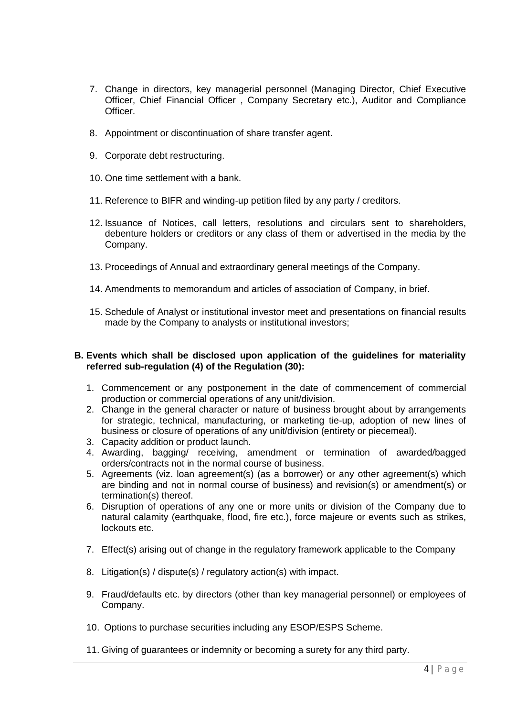- 7. Change in directors, key managerial personnel (Managing Director, Chief Executive Officer, Chief Financial Officer , Company Secretary etc.), Auditor and Compliance Officer.
- 8. Appointment or discontinuation of share transfer agent.
- 9. Corporate debt restructuring.
- 10. One time settlement with a bank.
- 11. Reference to BIFR and winding-up petition filed by any party / creditors.
- 12. Issuance of Notices, call letters, resolutions and circulars sent to shareholders, debenture holders or creditors or any class of them or advertised in the media by the Company.
- 13. Proceedings of Annual and extraordinary general meetings of the Company.
- 14. Amendments to memorandum and articles of association of Company, in brief.
- 15. Schedule of Analyst or institutional investor meet and presentations on financial results made by the Company to analysts or institutional investors;

#### **B. Events which shall be disclosed upon application of the guidelines for materiality referred sub-regulation (4) of the Regulation (30):**

- 1. Commencement or any postponement in the date of commencement of commercial production or commercial operations of any unit/division.
- 2. Change in the general character or nature of business brought about by arrangements for strategic, technical, manufacturing, or marketing tie-up, adoption of new lines of business or closure of operations of any unit/division (entirety or piecemeal).
- 3. Capacity addition or product launch.
- 4. Awarding, bagging/ receiving, amendment or termination of awarded/bagged orders/contracts not in the normal course of business.
- 5. Agreements (viz. loan agreement(s) (as a borrower) or any other agreement(s) which are binding and not in normal course of business) and revision(s) or amendment(s) or termination(s) thereof.
- 6. Disruption of operations of any one or more units or division of the Company due to natural calamity (earthquake, flood, fire etc.), force majeure or events such as strikes, lockouts etc.
- 7. Effect(s) arising out of change in the regulatory framework applicable to the Company
- 8. Litigation(s) / dispute(s) / regulatory action(s) with impact.
- 9. Fraud/defaults etc. by directors (other than key managerial personnel) or employees of Company.
- 10. Options to purchase securities including any ESOP/ESPS Scheme.
- 11. Giving of guarantees or indemnity or becoming a surety for any third party.